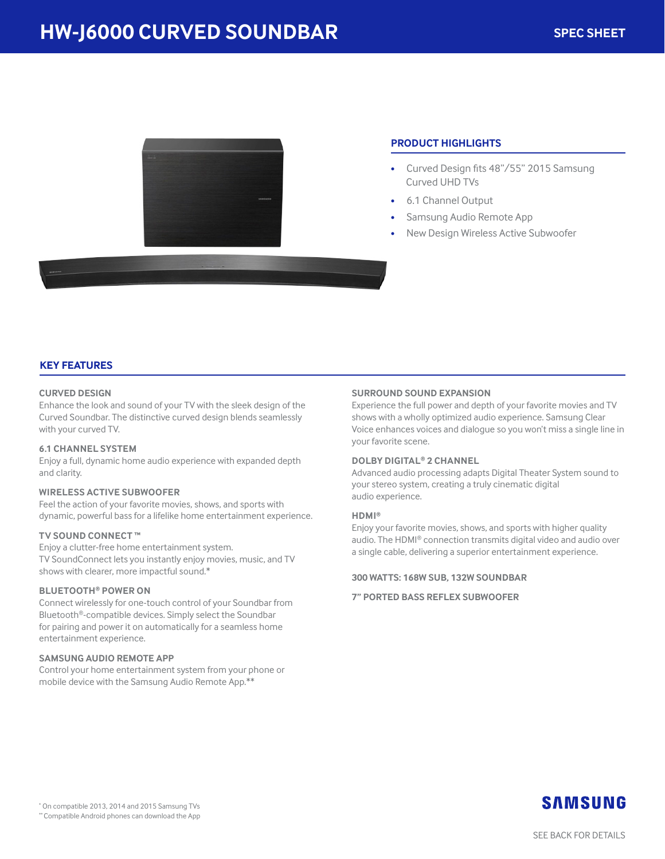

# **PRODUCT HIGHLIGHTS**

- Curved Design fits 48"/55" 2015 Samsung Curved UHD TVs
- 6.1 Channel Output
- Samsung Audio Remote App
- New Design Wireless Active Subwoofer

# **KEY FEATURES**

## **CURVED DESIGN**

Enhance the look and sound of your TV with the sleek design of the Curved Soundbar. The distinctive curved design blends seamlessly with your curved TV.

#### **6.1 CHANNEL SYSTEM**

Enjoy a full, dynamic home audio experience with expanded depth and clarity.

#### **WIRELESS ACTIVE SUBWOOFER**

Feel the action of your favorite movies, shows, and sports with dynamic, powerful bass for a lifelike home entertainment experience.

#### **TV SOUND CONNECT ™**

Enjoy a clutter-free home entertainment system. TV SoundConnect lets you instantly enjoy movies, music, and TV shows with clearer, more impactful sound.\*

# **BLUETOOTH® POWER ON**

Connect wirelessly for one-touch control of your Soundbar from Bluetooth®-compatible devices. Simply select the Soundbar for pairing and power it on automatically for a seamless home entertainment experience.

### **SAMSUNG AUDIO REMOTE APP**

Control your home entertainment system from your phone or mobile device with the Samsung Audio Remote App.\*\*

## **SURROUND SOUND EXPANSION**

Experience the full power and depth of your favorite movies and TV shows with a wholly optimized audio experience. Samsung Clear Voice enhances voices and dialogue so you won't miss a single line in your favorite scene.

## **DOLBY DIGITAL® 2 CHANNEL**

Advanced audio processing adapts Digital Theater System sound to your stereo system, creating a truly cinematic digital audio experience.

#### **HDMI®**

Enjoy your favorite movies, shows, and sports with higher quality audio. The HDMI® connection transmits digital video and audio over a single cable, delivering a superior entertainment experience.

#### **300 WATTS: 168W SUB, 132W SOUNDBAR**

**7" PORTED BASS REFLEX SUBWOOFER**